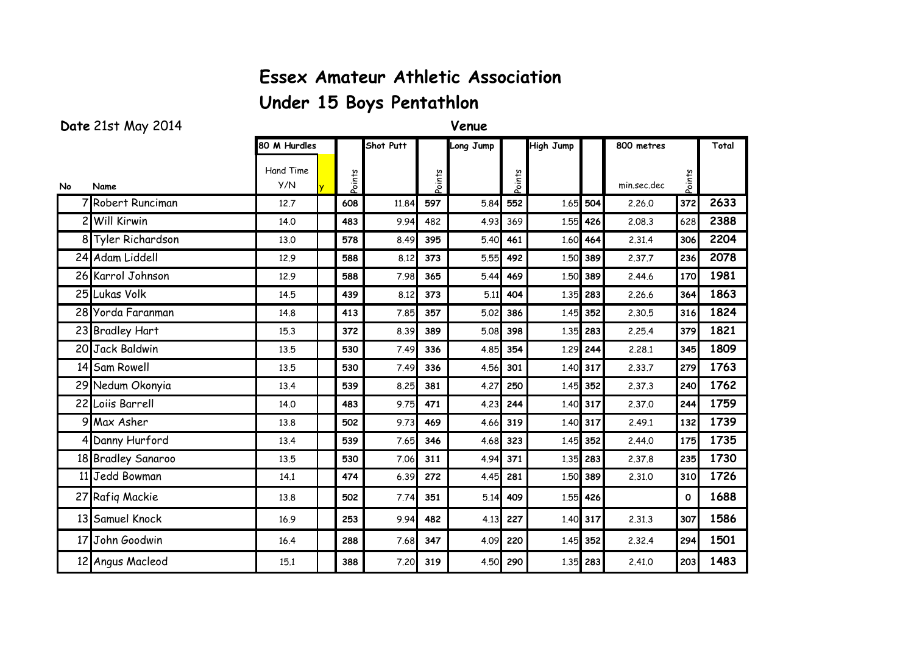## **Essex Amateur Athletic Association**

## **Under 15 Boys Pentathlon**

## **Date** 21st May 2014 **Venue**

|     |                    | 80 M Hurdles     |        | Shot Putt |             | Long Jump |             | <b>High Jump</b> |            | 800 metres  |              | Total |
|-----|--------------------|------------------|--------|-----------|-------------|-----------|-------------|------------------|------------|-------------|--------------|-------|
| No. | Name               | Hand Time<br>Y/N | Points |           | <b>Suup</b> |           | <b>Suuo</b> |                  |            | min.sec.dec | oints        |       |
|     | 7 Robert Runciman  | 12.7             | 608    | 11.84     | 597         | 5.84      | 552         |                  | 1.65 504   | 2,26,0      | 372          | 2633  |
|     | 2 Will Kirwin      | 14.0             | 483    | 9.94      | 482         | 4.93      | 369         | 1.55             | 426        | 2.08.3      | 628          | 2388  |
|     | 8 Tyler Richardson | 13.0             | 578    | 8.49      | 395         | 5.40      | 461         | 1.60             | 464        | 2.31.4      | 306          | 2204  |
|     | 24 Adam Liddell    | 12.9             | 588    | 8.12      | 373         | 5.55      | 492         | 1.50             | 389        | 2.37.7      | 236          | 2078  |
|     | 26 Karrol Johnson  | 12.9             | 588    | 7.98      | 365         | 5.44      | 469         |                  | 1.50 389   | 2.44.6      | 170          | 1981  |
|     | 25 Lukas Volk      | 14.5             | 439    | 8.12      | 373         | 5.11      | 404         |                  | 1.35 283   | 2.26.6      | 364          | 1863  |
|     | 28 Yorda Faranman  | 14.8             | 413    | 7.85      | 357         | 5.02      | 386         |                  | 1.45 352   | 2.30.5      | 316          | 1824  |
|     | 23 Bradley Hart    | 15.3             | 372    | 8.39      | 389         | 5.08      | 398         |                  | 1.35 283   | 2.25.4      | 379          | 1821  |
|     | 20 Jack Baldwin    | 13.5             | 530    | 7.49      | 336         | 4.85      | 354         |                  | 1.29 244   | 2.28.1      | 345          | 1809  |
|     | 14 Sam Rowell      | 13.5             | 530    | 7.49      | 336         | 4.56      | 301         |                  | 1.40 317   | 2.33.7      | 279          | 1763  |
|     | 29 Nedum Okonyia   | 13.4             | 539    | 8.25      | 381         | 4.27      | 250         | 1.45             | 352        | 2.37.3      | 240          | 1762  |
|     | 22 Loiis Barrell   | 14.0             | 483    | 9.75      | 471         | 4.23      | 244         |                  | 1.40 317   | 2.37.0      | 244          | 1759  |
|     | 9 Max Asher        | 13.8             | 502    | 9.73      | 469         | 4.66      | 319         |                  | 1.40 317   | 2.49.1      | 132          | 1739  |
|     | 4 Danny Hurford    | 13.4             | 539    | 7.65      | 346         | 4.68      | 323         |                  | 1.45 352   | 2.44.0      | 175          | 1735  |
|     | 18 Bradley Sanaroo | 13.5             | 530    | 7.06      | 311         | 4.94      | 371         |                  | 1.35 283   | 2.37.8      | 235          | 1730  |
|     | 11 Jedd Bowman     | 14.1             | 474    | 6.39      | 272         | 4.45      | 281         |                  | 1.50 389   | 2.31.0      | 310          | 1726  |
|     | 27 Rafiq Mackie    | 13.8             | 502    | 7.74      | 351         | 5.14      | 409         |                  | 1.55 426   |             | $\mathbf{o}$ | 1688  |
|     | 13 Samuel Knock    | 16.9             | 253    | 9.94      | 482         | 4.13      | 227         |                  | 1.40 317   | 2.31.3      | 307          | 1586  |
|     | 17 John Goodwin    | 16.4             | 288    | 7.68      | 347         | 4.09      | 220         |                  | $1.45$ 352 | 2.32.4      | 294          | 1501  |
|     | 12 Angus Macleod   | 15.1             | 388    | 7.20      | 319         | 4.50      | 290         |                  | 1.35 283   | 2.41.0      | 203          | 1483  |